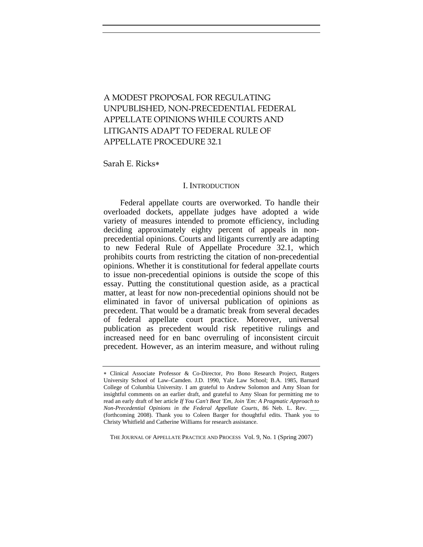# A MODEST PROPOSAL FOR REGULATING UNPUBLISHED, NON-PRECEDENTIAL FEDERAL APPELLATE OPINIONS WHILE COURTS AND LITIGANTS ADAPT TO FEDERAL RULE OF APPELLATE PROCEDURE 32.1

Sarah E. Ricks∗

## I. INTRODUCTION

Federal appellate courts are overworked. To handle their overloaded dockets, appellate judges have adopted a wide variety of measures intended to promote efficiency, including deciding approximately eighty percent of appeals in nonprecedential opinions. Courts and litigants currently are adapting to new Federal Rule of Appellate Procedure 32.1, which prohibits courts from restricting the citation of non-precedential opinions. Whether it is constitutional for federal appellate courts to issue non-precedential opinions is outside the scope of this essay. Putting the constitutional question aside, as a practical matter, at least for now non-precedential opinions should not be eliminated in favor of universal publication of opinions as precedent. That would be a dramatic break from several decades of federal appellate court practice. Moreover, universal publication as precedent would risk repetitive rulings and increased need for en banc overruling of inconsistent circuit precedent. However, as an interim measure, and without ruling

THE JOURNAL OF APPELLATE PRACTICE AND PROCESS Vol. 9, No. 1 (Spring 2007)

<sup>∗</sup> Clinical Associate Professor & Co-Director, Pro Bono Research Project, Rutgers University School of Law–Camden. J.D. 1990, Yale Law School; B.A. 1985, Barnard College of Columbia University. I am grateful to Andrew Solomon and Amy Sloan for insightful comments on an earlier draft, and grateful to Amy Sloan for permitting me to read an early draft of her article *If You Can't Beat 'Em, Join 'Em: A Pragmatic Approach to Non-Precedential Opinions in the Federal Appellate Courts*, 86 Neb. L. Rev. \_\_\_ (forthcoming 2008). Thank you to Coleen Barger for thoughtful edits. Thank you to Christy Whitfield and Catherine Williams for research assistance.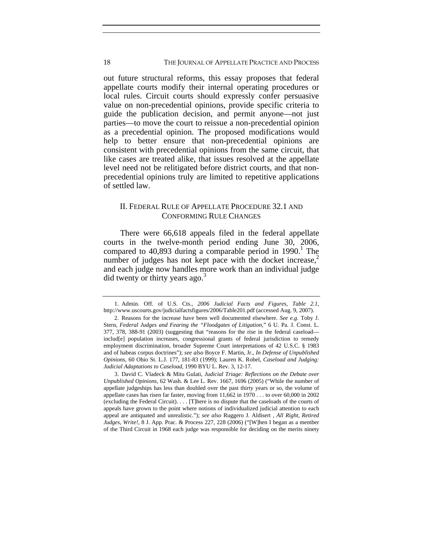### 18 THE JOURNAL OF APPELLATE PRACTICE AND PROCESS

out future structural reforms, this essay proposes that federal appellate courts modify their internal operating procedures or local rules. Circuit courts should expressly confer persuasive value on non-precedential opinions, provide specific criteria to guide the publication decision, and permit anyone—not just parties—to move the court to reissue a non-precedential opinion as a precedential opinion. The proposed modifications would help to better ensure that non-precedential opinions are consistent with precedential opinions from the same circuit, that like cases are treated alike, that issues resolved at the appellate level need not be relitigated before district courts, and that nonprecedential opinions truly are limited to repetitive applications of settled law.

# II. FEDERAL RULE OF APPELLATE PROCEDURE 32.1 AND CONFORMING RULE CHANGES

There were 66,618 appeals filed in the federal appellate courts in the twelve-month period ending June 30, 2006, compared to 40,893 during a comparable period in  $1990$ .<sup>1</sup> The number of judges has not kept pace with the docket increase, $<sup>2</sup>$ </sup> and each judge now handles more work than an individual judge did twenty or thirty years ago.<sup>3</sup>

 <sup>1.</sup> Admin. Off. of U.S. Cts., *2006 Judicial Facts and Figures, Table 2.1*, http://www.uscourts.gov/judicialfactsfigures/2006/Table201.pdf (accessed Aug. 9, 2007).

 <sup>2.</sup> Reasons for the increase have been well documented elsewhere. *See e.g.* Toby J. Stern, *Federal Judges and Fearing the "Floodgates of Litigation,*" 6 U. Pa. J. Const. L. 377, 378, 388-91 (2003) (suggesting that "reasons for the rise in the federal caseload includ[e] population increases, congressional grants of federal jurisdiction to remedy employment discrimination, broader Supreme Court interpretations of 42 U.S.C. § 1983 and of habeas corpus doctrines"); *see also* Boyce F. Martin, Jr., *In Defense of Unpublished Opinions*, 60 Ohio St. L.J. 177, 181-83 (1999); Lauren K. Robel, *Caseload and Judging: Judicial Adaptations to Caseload*, 1990 BYU L. Rev. 3, 12-17.

 <sup>3.</sup> David C. Vladeck & Mitu Gulati, *Judicial Triage: Reflections on the Debate over Unpublished Opinions,* 62 Wash. & Lee L. Rev. 1667, 1696 (2005) ("While the number of appellate judgeships has less than doubled over the past thirty years or so, the volume of appellate cases has risen far faster, moving from 11,662 in 1970 . . . to over 60,000 in 2002 (excluding the Federal Circuit). . . . [T]here is no dispute that the caseloads of the courts of appeals have grown to the point where notions of individualized judicial attention to each appeal are antiquated and unrealistic."); *see also* Ruggero J. Aldisert , *All Right, Retired Judges, Write!*, 8 J. App. Prac. & Process 227, 228 (2006) ("[W]hen I began as a member of the Third Circuit in 1968 each judge was responsible for deciding on the merits ninety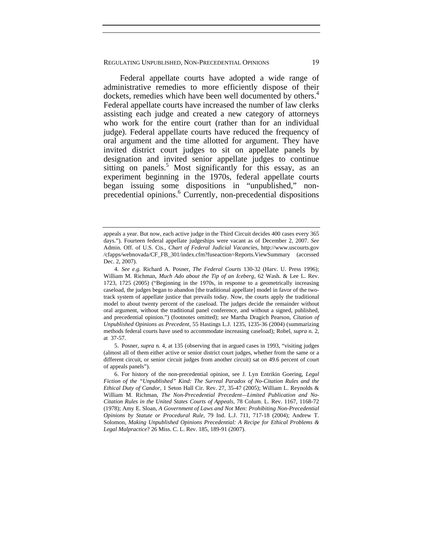Federal appellate courts have adopted a wide range of administrative remedies to more efficiently dispose of their dockets, remedies which have been well documented by others.<sup>4</sup> Federal appellate courts have increased the number of law clerks assisting each judge and created a new category of attorneys who work for the entire court (rather than for an individual judge). Federal appellate courts have reduced the frequency of oral argument and the time allotted for argument. They have invited district court judges to sit on appellate panels by designation and invited senior appellate judges to continue sitting on panels.<sup>5</sup> Most significantly for this essay, as an experiment beginning in the 1970s, federal appellate courts began issuing some dispositions in "unpublished," nonprecedential opinions.<sup>6</sup> Currently, non-precedential dispositions

appeals a year. But now, each active judge in the Third Circuit decides 400 cases every 365 days."). Fourteen federal appellate judgeships were vacant as of December 2, 2007. *See* Admin. Off. of U.S. Cts., *Chart of Federal Judicial Vacancies*, http://www.uscourts.gov /cfapps/webnovada/CF\_FB\_301/index.cfm?fuseaction=Reports.ViewSummary (accessed Dec. 2, 2007).

<sup>4</sup>*. See e.g.* Richard A. Posner, *The Federal Courts* 130-32 (Harv. U. Press 1996); William M. Richman, *Much Ado about the Tip of an Iceberg,* 62 Wash. & Lee L. Rev. 1723, 1725 (2005) ("Beginning in the 1970s, in response to a geometrically increasing caseload, the judges began to abandon [the traditional appellate] model in favor of the twotrack system of appellate justice that prevails today. Now, the courts apply the traditional model to about twenty percent of the caseload. The judges decide the remainder without oral argument, without the traditional panel conference, and without a signed, published, and precedential opinion.") (footnotes omitted); *see* Martha Dragich Pearson, *Citation of Unpublished Opinions as Precedent,* 55 Hastings L.J. 1235, 1235-36 (2004) (summarizing methods federal courts have used to accommodate increasing caseload); Robel, *supra* n. 2, at 37-57.

 <sup>5.</sup> Posner, *supra* n. 4, at 135 (observing that in argued cases in 1993, "visiting judges (almost all of them either active or senior district court judges, whether from the same or a different circuit, or senior circuit judges from another circuit) sat on 49.6 percent of court of appeals panels").

 <sup>6.</sup> For history of the non-precedential opinion, see J. Lyn Entrikin Goering, *Legal Fiction of the "Unpublished" Kind: The Surreal Paradox of No-Citation Rules and the Ethical Duty of Candor*, 1 Seton Hall Cir. Rev. 27, 35-47 (2005); William L. Reynolds & William M. Richman, *The Non-Precedential Precedent—Limited Publication and No-Citation Rules in the United States Courts of Appeals*, 78 Colum. L. Rev. 1167, 1168-72 (1978); Amy E. Sloan, *A Government of Laws and Not Men: Prohibiting Non-Precedential Opinions by Statute or Procedural Rule*, 79 Ind. L.J. 711, 717-18 (2004); Andrew T. Solomon, *Making Unpublished Opinions Precedential: A Recipe for Ethical Problems & Legal Malpractice*? 26 Miss. C. L. Rev. 185, 189-91 (2007).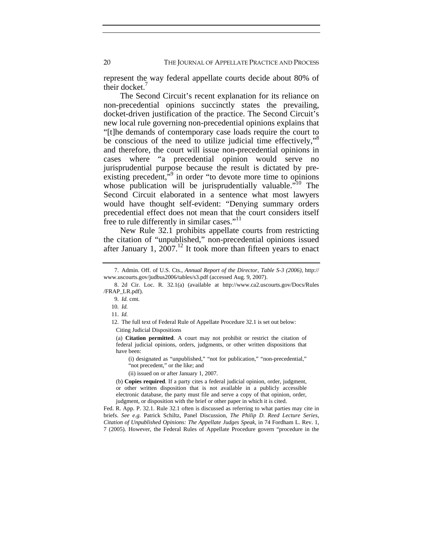represent the way federal appellate courts decide about 80% of their docket.

The Second Circuit's recent explanation for its reliance on non-precedential opinions succinctly states the prevailing, docket-driven justification of the practice. The Second Circuit's new local rule governing non-precedential opinions explains that "[t]he demands of contemporary case loads require the court to be conscious of the need to utilize judicial time effectively,"<sup>8</sup> and therefore, the court will issue non-precedential opinions in cases where "a precedential opinion would serve no jurisprudential purpose because the result is dictated by preexisting precedent,<sup>"9</sup> in order "to devote more time to opinions" whose publication will be jurisprudentially valuable.<sup>"10</sup> The Second Circuit elaborated in a sentence what most lawyers would have thought self-evident: "Denying summary orders precedential effect does not mean that the court considers itself free to rule differently in similar cases."<sup>11</sup>

New Rule 32.1 prohibits appellate courts from restricting the citation of "unpublished," non-precedential opinions issued after January 1,  $2007$ .<sup>12</sup> It took more than fifteen years to enact

 12. The full text of Federal Rule of Appellate Procedure 32.1 is set out below: Citing Judicial Dispositions

(a) **Citation permitted**. A court may not prohibit or restrict the citation of federal judicial opinions, orders, judgments, or other written dispositions that have been:

(i) designated as "unpublished," "not for publication," "non-precedential," "not precedent," or the like; and

(ii) issued on or after January 1, 2007.

(b) **Copies required**. If a party cites a federal judicial opinion, order, judgment, or other written disposition that is not available in a publicly accessible electronic database, the party must file and serve a copy of that opinion, order, judgment, or disposition with the brief or other paper in which it is cited.

Fed. R. App. P. 32.1. Rule 32.1 often is discussed as referring to what parties may cite in briefs. *See e.g.* Patrick Schiltz, Panel Discussion, *The Philip D. Reed Lecture Series, Citation of Unpublished Opinions: The Appellate Judges Speak*, in 74 Fordham L. Rev. 1, 7 (2005). However, the Federal Rules of Appellate Procedure govern "procedure in the

 <sup>7.</sup> Admin. Off. of U.S. Cts., *Annual Report of the Director, Table S-3 (2006)*, http:// www.uscourts.gov/judbus2006/tables/s3.pdf (accessed Aug. 9, 2007).

 <sup>8. 2</sup>d Cir. Loc. R. 32.1(a) (available at http://www.ca2.uscourts.gov/Docs/Rules /FRAP\_LR.pdf).

<sup>9</sup>*. Id.* cmt.

<sup>10</sup>*. Id.*

 <sup>11.</sup> *Id.*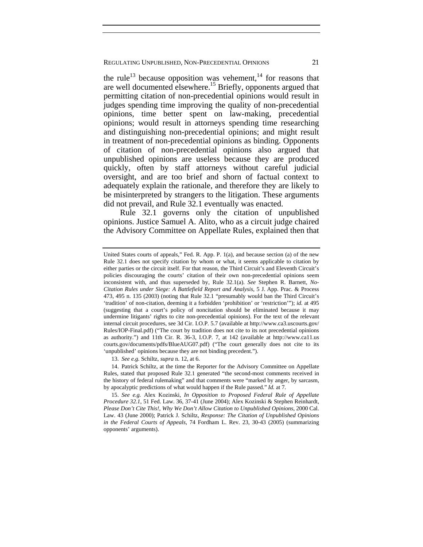the rule<sup>13</sup> because opposition was vehement,<sup>14</sup> for reasons that are well documented elsewhere.<sup>15</sup> Briefly, opponents argued that permitting citation of non-precedential opinions would result in judges spending time improving the quality of non-precedential opinions, time better spent on law-making, precedential opinions; would result in attorneys spending time researching and distinguishing non-precedential opinions; and might result in treatment of non-precedential opinions as binding. Opponents of citation of non-precedential opinions also argued that unpublished opinions are useless because they are produced quickly, often by staff attorneys without careful judicial oversight, and are too brief and shorn of factual context to adequately explain the rationale, and therefore they are likely to be misinterpreted by strangers to the litigation. These arguments did not prevail, and Rule 32.1 eventually was enacted.

Rule 32.1 governs only the citation of unpublished opinions. Justice Samuel A. Alito, who as a circuit judge chaired the Advisory Committee on Appellate Rules, explained then that

13. *See e.g.* Schiltz, *supra* n. 12, at 6.

 14. Patrick Schiltz, at the time the Reporter for the Advisory Committee on Appellate Rules, stated that proposed Rule 32.1 generated "the second-most comments received in the history of federal rulemaking" and that comments were "marked by anger, by sarcasm, by apocalyptic predictions of what would happen if the Rule passed." *Id.* at 7.

 15. *See e.g.* Alex Kozinski, *In Opposition to Proposed Federal Rule of Appellate Procedure 32.1*, 51 Fed. Law. 36, 37-41 (June 2004); Alex Kozinski & Stephen Reinhardt, *Please Don't Cite This!, Why We Don't Allow Citation to Unpublished Opinions*, 2000 Cal. Law. 43 (June 2000); Patrick J. Schiltz, *Response: The Citation of Unpublished Opinions in the Federal Courts of Appeals*, 74 Fordham L. Rev. 23, 30-43 (2005) (summarizing opponents' arguments).

United States courts of appeals," Fed. R. App. P. 1(a), and because section (a) of the new Rule 32.1 does not specify citation by whom or what, it seems applicable to citation by either parties or the circuit itself. For that reason, the Third Circuit's and Eleventh Circuit's policies discouraging the courts' citation of their own non-precedential opinions seem inconsistent with, and thus superseded by, Rule 32.1(a). *See* Stephen R. Barnett, *No-Citation Rules under Siege: A Battlefield Report and Analysis*, 5 J. App. Prac. & Process 473, 495 n. 135 (2003) (noting that Rule 32.1 "presumably would ban the Third Circuit's 'tradition' of non-citation, deeming it a forbidden 'prohibition' or 'restriction'"); *id.* at 495 (suggesting that a court's policy of noncitation should be eliminated because it may undermine litigants' rights to cite non-precedential opinions). For the text of the relevant internal circuit procedures, see 3d Cir. I.O.P. 5.7 (available at http://www.ca3.uscourts.gov/ Rules/IOP-Final.pdf) ("The court by tradition does not cite to its not precedential opinions as authority.") and 11th Cir. R. 36-3, I.O.P. 7, at 142 (available at http://www.ca11.us courts.gov/documents/pdfs/BlueAUG07.pdf) ("The court generally does not cite to its 'unpublished' opinions because they are not binding precedent.").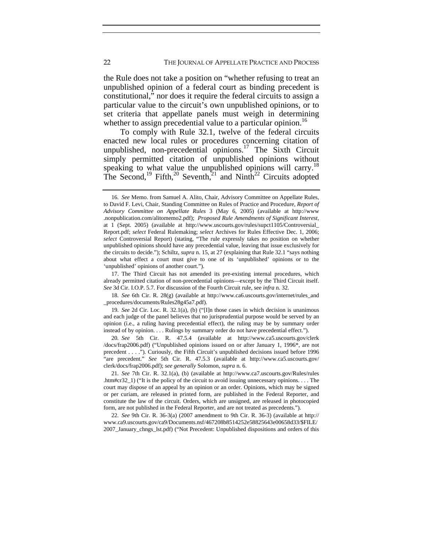the Rule does not take a position on "whether refusing to treat an unpublished opinion of a federal court as binding precedent is constitutional," nor does it require the federal circuits to assign a particular value to the circuit's own unpublished opinions, or to set criteria that appellate panels must weigh in determining whether to assign precedential value to a particular opinion.<sup>16</sup>

To comply with Rule 32.1, twelve of the federal circuits enacted new local rules or procedures concerning citation of unpublished, non-precedential opinions.<sup>17</sup> The Sixth Circuit simply permitted citation of unpublished opinions without speaking to what value the unpublished opinions will carry.<sup>18</sup> The Second,<sup>19</sup> Fifth,<sup>20</sup> Seventh,<sup>21</sup> and Ninth<sup>22</sup> Circuits adopted

<sup>16</sup>*. See* Memo. from Samuel A. Alito, Chair, Advisory Committee on Appellate Rules, to David F. Levi, Chair, Standing Committee on Rules of Practice and Procedure, *Report of Advisory Committee on Appellate Rules* 3 (May 6, 2005) (available at http://www .nonpublication.com/alitomemo2.pdf); *Proposed Rule Amendments of Significant Interest*, at 1 (Sept. 2005) (available at http://www.uscourts.gov/rules/supct1105/Controversial\_ Report.pdf; *select* Federal Rulemaking; *select* Archives for Rules Effective Dec. 1, 2006; *select* Controversial Report) (stating, "The rule expressly takes no position on whether unpublished opinions should have any precedential value, leaving that issue exclusively for the circuits to decide."); Schiltz, *supra* n. 15, at 27 (explaining that Rule 32.1 "says nothing about what effect a court must give to one of its 'unpublished' opinions or to the 'unpublished' opinions of another court.").

 <sup>17.</sup> The Third Circuit has not amended its pre-existing internal procedures, which already permitted citation of non-precedential opinions—except by the Third Circuit itself. *See* 3d Cir. I.O.P. 5.7. For discussion of the Fourth Circuit rule, see *infra* n. 32.

<sup>18</sup>*. See* 6th Cir. R. 28(g) (available at http://www.ca6.uscourts.gov/internet/rules\_and \_procedures/documents/Rules28g45a7.pdf).

<sup>19</sup>*. See* 2d Cir. Loc. R. 32.1(a), (b) ("[I]n those cases in which decision is unanimous and each judge of the panel believes that no jurisprudential purpose would be served by an opinion (i.e., a ruling having precedential effect), the ruling may be by summary order instead of by opinion. . . . Rulings by summary order do not have precedential effect.").

<sup>20</sup>*. See* 5th Cir. R. 47.5.4 (available at http://www.ca5.uscourts.gov/clerk /docs/frap2006.pdf) ("Unpublished opinions issued on or after January 1, 1996\*, are not precedent . . . ."). Curiously, the Fifth Circuit's unpublished decisions issued before 1996 "are precedent." *See* 5th Cir. R. 47.5.3 (available at http://www.ca5.uscourts.gov/ clerk/docs/frap2006.pdf); *see generally* Solomon, *supra* n. 6.

<sup>21</sup>*. See* 7th Cir. R. 32.1(a), (b) (available at http://www.ca7.uscourts.gov/Rules/rules .htm#cr32\_1) ("It is the policy of the circuit to avoid issuing unnecessary opinions. . . . The court may dispose of an appeal by an opinion or an order. Opinions, which may be signed or per curiam, are released in printed form, are published in the Federal Reporter, and constitute the law of the circuit. Orders, which are unsigned, are released in photocopied form, are not published in the Federal Reporter, and are not treated as precedents.").

<sup>22</sup>*. See* 9th Cir. R. 36-3(a) (2007 amendment to 9th Cir. R. 36-3) (available at http:// www.ca9.uscourts.gov/ca9/Documents.nsf/467208b8514252e58825643e00658d33/\$FILE/ 2007\_January\_chngs\_lst.pdf) ("Not Precedent: Unpublished dispositions and orders of this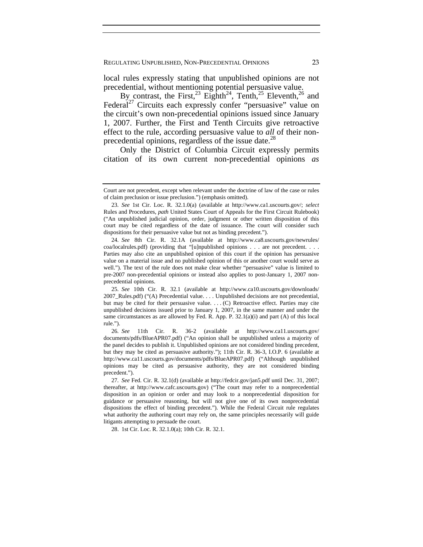local rules expressly stating that unpublished opinions are not precedential, without mentioning potential persuasive value.

By contrast, the First,<sup>23</sup> Eighth<sup>24</sup>, Tenth,<sup>25</sup> Eleventh,<sup>26</sup> and Federal<sup>27</sup> Circuits each expressly confer "persuasive" value on the circuit's own non-precedential opinions issued since January 1, 2007. Further, the First and Tenth Circuits give retroactive effect to the rule, according persuasive value to *all* of their nonprecedential opinions, regardless of the issue date.<sup>28</sup>

Only the District of Columbia Circuit expressly permits citation of its own current non-precedential opinions *as* 

28. 1st Cir. Loc. R. 32.1.0(a); 10th Cir. R. 32.1.

Court are not precedent, except when relevant under the doctrine of law of the case or rules of claim preclusion or issue preclusion.") (emphasis omitted).

<sup>23</sup>*. See* 1st Cir. Loc. R. 32.1.0(a) (available at http://www.ca1.uscourts.gov/; *select*  Rules and Procedures, *path* United States Court of Appeals for the First Circuit Rulebook) ("An unpublished judicial opinion, order, judgment or other written disposition of this court may be cited regardless of the date of issuance. The court will consider such dispositions for their persuasive value but not as binding precedent.").

<sup>24</sup>*. See* 8th Cir. R. 32.1A (available at http://www.ca8.uscourts.gov/newrules/ coa/localrules.pdf) (providing that "[u]npublished opinions . . . are not precedent. . . . Parties may also cite an unpublished opinion of this court if the opinion has persuasive value on a material issue and no published opinion of this or another court would serve as well."). The text of the rule does not make clear whether "persuasive" value is limited to pre-2007 non-precedential opinions or instead also applies to post-January 1, 2007 nonprecedential opinions.

<sup>25</sup>*. See* 10th Cir. R. 32.1 (available at http://www.ca10.uscourts.gov/downloads/ 2007\_Rules.pdf) ("(A) Precedential value. . . . Unpublished decisions are not precedential, but may be cited for their persuasive value. . . . (C) Retroactive effect. Parties may cite unpublished decisions issued prior to January 1, 2007, in the same manner and under the same circumstances as are allowed by Fed. R. App. P.  $32.1(a)(i)$  and part (A) of this local rule.").

<sup>26</sup>*. See* 11th Cir. R. 36-2 (available at http://www.ca11.uscourts.gov/ documents/pdfs/BlueAPR07.pdf) ("An opinion shall be unpublished unless a majority of the panel decides to publish it. Unpublished opinions are not considered binding precedent, but they may be cited as persuasive authority."); 11th Cir. R. 36-3, I.O.P. 6 (available at http://www.ca11.uscourts.gov/documents/pdfs/BlueAPR07.pdf) ("Although unpublished opinions may be cited as persuasive authority, they are not considered binding precedent.").

<sup>27</sup>*. See* Fed. Cir. R. 32.1(d) (available at http://fedcir.gov/jan5.pdf until Dec. 31, 2007; thereafter, at http://www.cafc.uscourts.gov) ("The court may refer to a nonprecedential disposition in an opinion or order and may look to a nonprecedential disposition for guidance or persuasive reasoning, but will not give one of its own nonprecedential dispositions the effect of binding precedent."). While the Federal Circuit rule regulates what authority the authoring court may rely on, the same principles necessarily will guide litigants attempting to persuade the court.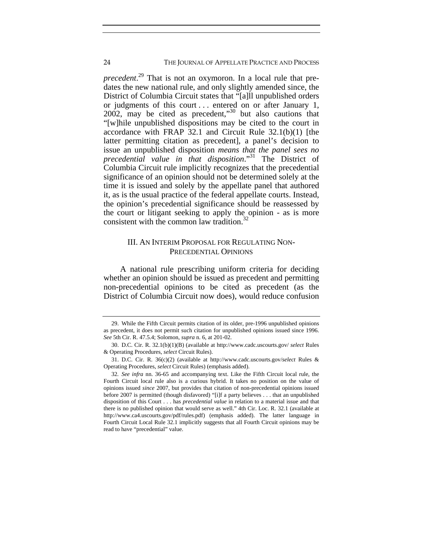# 24 THE JOURNAL OF APPELLATE PRACTICE AND PROCESS

*precedent*. 29 That is not an oxymoron. In a local rule that predates the new national rule, and only slightly amended since, the District of Columbia Circuit states that "[a]ll unpublished orders or judgments of this court ... entered on or after January 1,  $2002$ , may be cited as precedent,<sup>30</sup> but also cautions that "[w]hile unpublished dispositions may be cited to the court in accordance with FRAP 32.1 and Circuit Rule 32.1(b)(1) [the latter permitting citation as precedent], a panel's decision to issue an unpublished disposition *means that the panel sees no precedential value in that disposition*."31 The District of Columbia Circuit rule implicitly recognizes that the precedential significance of an opinion should not be determined solely at the time it is issued and solely by the appellate panel that authored it, as is the usual practice of the federal appellate courts. Instead, the opinion's precedential significance should be reassessed by the court or litigant seeking to apply the opinion - as is more consistent with the common law tradition. $32$ 

# III. AN INTERIM PROPOSAL FOR REGULATING NON-PRECEDENTIAL OPINIONS

A national rule prescribing uniform criteria for deciding whether an opinion should be issued as precedent and permitting non-precedential opinions to be cited as precedent (as the District of Columbia Circuit now does), would reduce confusion

 <sup>29.</sup> While the Fifth Circuit permits citation of its older, pre-1996 unpublished opinions as precedent, it does not permit such citation for unpublished opinions issued since 1996. *See* 5th Cir. R. 47.5.4; Solomon, *supra* n. 6, at 201-02.

 <sup>30.</sup> D.C. Cir. R. 32.1(b)(1)(B) (available at http://www.cadc.uscourts.gov/ *select* Rules & Operating Procedures, *select* Circuit Rules).

 <sup>31.</sup> D.C. Cir. R. 36(c)(2) (available at http://www.cadc.uscourts.gov/*select* Rules & Operating Procedures, *select* Circuit Rules) (emphasis added).

<sup>32</sup>*. See infra* nn. 36-65 and accompanying text. Like the Fifth Circuit local rule, the Fourth Circuit local rule also is a curious hybrid. It takes no position on the value of opinions issued *since* 2007, but provides that citation of non-precedential opinions issued before 2007 is permitted (though disfavored) "[i]f a party believes . . . that an unpublished disposition of this Court . . . has *precedential value* in relation to a material issue and that there is no published opinion that would serve as well." 4th Cir. Loc. R. 32.1 (available at http://www.ca4.uscourts.gov/pdf/rules.pdf) (emphasis added). The latter language in Fourth Circuit Local Rule 32.1 implicitly suggests that all Fourth Circuit opinions may be read to have "precedential" value.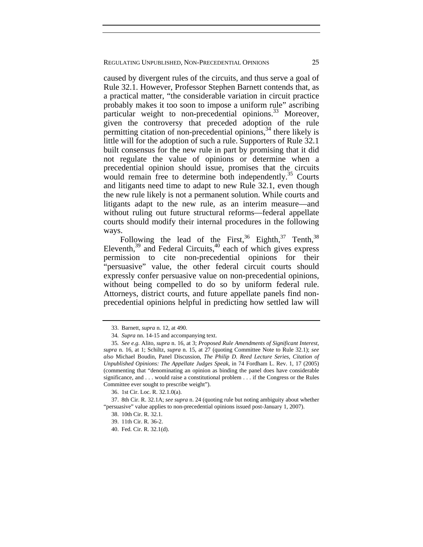caused by divergent rules of the circuits, and thus serve a goal of Rule 32.1. However, Professor Stephen Barnett contends that, as a practical matter, "the considerable variation in circuit practice probably makes it too soon to impose a uniform rule" ascribing particular weight to non-precedential opinions.<sup>33</sup> Moreover, given the controversy that preceded adoption of the rule permitting citation of non-precedential opinions,  $34$  there likely is little will for the adoption of such a rule. Supporters of Rule 32.1 built consensus for the new rule in part by promising that it did not regulate the value of opinions or determine when a precedential opinion should issue, promises that the circuits would remain free to determine both independently.<sup>35</sup> Courts and litigants need time to adapt to new Rule 32.1, even though the new rule likely is not a permanent solution. While courts and litigants adapt to the new rule, as an interim measure—and without ruling out future structural reforms—federal appellate courts should modify their internal procedures in the following ways.

Following the lead of the First,  $36$  Eighth,  $37$  Tenth,  $38$ Eleventh, $39$  and Federal Circuits, $40$  each of which gives express permission to cite non-precedential opinions for their "persuasive" value, the other federal circuit courts should expressly confer persuasive value on non-precedential opinions, without being compelled to do so by uniform federal rule. Attorneys, district courts, and future appellate panels find nonprecedential opinions helpful in predicting how settled law will

 <sup>33.</sup> Barnett, *supra* n. 12, at 490.

<sup>34</sup>*. Supra* nn. 14-15 and accompanying text.

<sup>35</sup>*. See e.g.* Alito, *supra* n. 16, at 3; *Proposed Rule Amendments of Significant Interest*, *supra* n. 16, at 1; Schiltz, *supra* n. 15, at 27 (quoting Committee Note to Rule 32.1); *see also* Michael Boudin, Panel Discussion, *The Philip D. Reed Lecture Series, Citation of Unpublished Opinions: The Appellate Judges Speak*, in 74 Fordham L. Rev. 1, 17 (2005) (commenting that "denominating an opinion as binding the panel does have considerable significance, and . . . would raise a constitutional problem . . . if the Congress or the Rules Committee ever sought to prescribe weight").

 <sup>36. 1</sup>st Cir. Loc. R. 32.1.0(a).

 <sup>37. 8</sup>th Cir. R. 32.1A; *see supra* n. 24 (quoting rule but noting ambiguity about whether "persuasive" value applies to non-precedential opinions issued post-January 1, 2007).

 <sup>38. 10</sup>th Cir. R. 32.1.

 <sup>39. 11</sup>th Cir. R. 36-2.

 <sup>40.</sup> Fed. Cir. R. 32.1(d).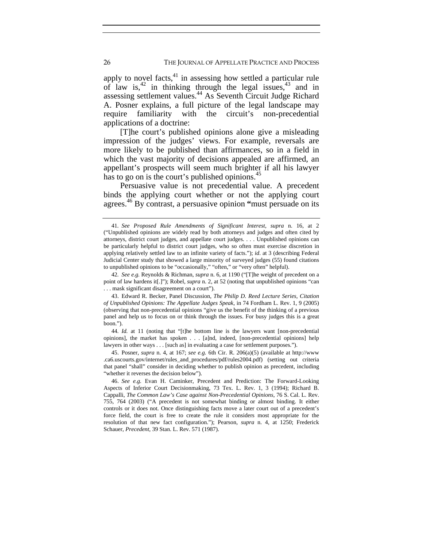apply to novel facts,  $41$  in assessing how settled a particular rule of law is,<sup>42</sup> in thinking through the legal issues,<sup>43</sup> and in assessing settlement values.44 As Seventh Circuit Judge Richard A. Posner explains, a full picture of the legal landscape may require familiarity with the circuit's non-precedential applications of a doctrine:

[T]he court's published opinions alone give a misleading impression of the judges' views. For example, reversals are more likely to be published than affirmances, so in a field in which the vast majority of decisions appealed are affirmed, an appellant's prospects will seem much brighter if all his lawyer has to go on is the court's published opinions.<sup>45</sup>

Persuasive value is not precedential value. A precedent binds the applying court whether or not the applying court agrees.46 By contrast, a persuasive opinion **"**must persuade on its

42*. See e.g.* Reynolds & Richman, *supra* n. 6, at 1190 ("[T]he weight of precedent on a point of law hardens it[.]"); Robel, *supra* n. 2, at 52 (noting that unpublished opinions "can . . . mask significant disagreement on a court").

 43. Edward R. Becker, Panel Discussion, *The Philip D. Reed Lecture Series, Citation of Unpublished Opinions: The Appellate Judges Speak*, in 74 Fordham L. Rev. 1, 9 (2005) (observing that non-precedential opinions "give us the benefit of the thinking of a previous panel and help us to focus on or think through the issues. For busy judges this is a great boon.").

44*. Id.* at 11 (noting that "[t]he bottom line is the lawyers want [non-precedential opinions], the market has spoken . . . [a]nd, indeed, [non-precedential opinions] help lawyers in other ways . . . [such as] in evaluating a case for settlement purposes.").

 45. Posner, *supra* n. 4, at 167; *see e.g.* 6th Cir. R. 206(a)(5) (available at http://www .ca6.uscourts.gov/internet/rules\_and\_procedures/pdf/rules2004.pdf) (setting out criteria that panel "shall" consider in deciding whether to publish opinion as precedent, including "whether it reverses the decision below").

<sup>41</sup>*. See Proposed Rule Amendments of Significant Interest*, *supra* n. 16, at 2 ("Unpublished opinions are widely read by both attorneys and judges and often cited by attorneys, district court judges, and appellate court judges. . . . Unpublished opinions can be particularly helpful to district court judges, who so often must exercise discretion in applying relatively settled law to an infinite variety of facts."); *id*. at 3 (describing Federal Judicial Center study that showed a large minority of surveyed judges (55) found citations to unpublished opinions to be "occasionally," "often," or "very often" helpful).

 <sup>46.</sup> *See e.g.* Evan H. Caminker, Precedent and Prediction: The Forward-Looking Aspects of Inferior Court Decisionmaking, 73 Tex. L. Rev. 1, 3 (1994); Richard B. Cappalli, *The Common Law's Case against Non-Precedential Opinions*, 76 S. Cal. L. Rev. 755, 764 (2003) ("A precedent is not somewhat binding or almost binding. It either controls or it does not. Once distinguishing facts move a later court out of a precedent's force field, the court is free to create the rule it considers most appropriate for the resolution of that new fact configuration."); Pearson, *supra* n. 4, at 1250; Frederick Schauer, *Precedent*, 39 Stan. L. Rev. 571 (1987).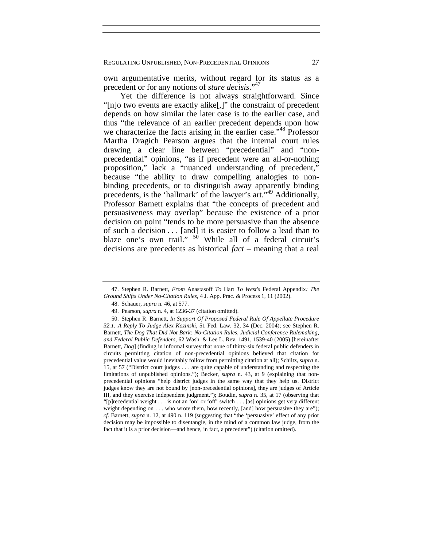own argumentative merits, without regard for its status as a precedent or for any notions of *stare decisis*."47

Yet the difference is not always straightforward. Since "[n]o two events are exactly alike[,]" the constraint of precedent depends on how similar the later case is to the earlier case, and thus "the relevance of an earlier precedent depends upon how we characterize the facts arising in the earlier case.<sup>"48</sup> Professor Martha Dragich Pearson argues that the internal court rules drawing a clear line between "precedential" and "nonprecedential" opinions, "as if precedent were an all-or-nothing proposition," lack a "nuanced understanding of precedent," because "the ability to draw compelling analogies to nonbinding precedents, or to distinguish away apparently binding precedents, is the 'hallmark' of the lawyer's art."49 Additionally, Professor Barnett explains that "the concepts of precedent and persuasiveness may overlap" because the existence of a prior decision on point "tends to be more persuasive than the absence of such a decision . . . [and] it is easier to follow a lead than to blaze one's own trail."  $50$  While all of a federal circuit's decisions are precedents as historical *fact* – meaning that a real

 <sup>47.</sup> Stephen R. Barnett, *From* Anastasoff *To* Hart *To West's* Federal Appendix*: The Ground Shifts Under No-Citation Rules,* 4 J. App. Prac. & Process 1, 11 (2002).

 <sup>48.</sup> Schauer, *supra* n. 46, at 577.

 <sup>49.</sup> Pearson, *supra* n. 4, at 1236-37 (citation omitted).

 <sup>50.</sup> Stephen R. Barnett, *In Support Of Proposed Federal Rule Of Appellate Procedure 32.1: A Reply To Judge Alex Kozinski*, 51 Fed. Law. 32, 34 (Dec. 2004); see Stephen R. Barnett, *The Dog That Did Not Bark: No-Citation Rules, Judicial Conference Rulemaking, and Federal Public Defenders*, 62 Wash. & Lee L. Rev. 1491, 1539-40 (2005) [hereinafter Barnett, *Dog*] (finding in informal survey that none of thirty-six federal public defenders in circuits permitting citation of non-precedential opinions believed that citation for precedential value would inevitably follow from permitting citation at all); Schiltz, *supra* n. 15, at 57 ("District court judges . . . are quite capable of understanding and respecting the limitations of unpublished opinions."); Becker, *supra* n. 43, at 9 (explaining that nonprecedential opinions "help district judges in the same way that they help us. District judges know they are not bound by [non-precedential opinions], they are judges of Article III, and they exercise independent judgment."); Boudin, *supra* n. 35, at 17 (observing that "[p]recedential weight . . . is not an 'on' or 'off' switch . . . [as] opinions get very different weight depending on . . . who wrote them, how recently, [and] how persuasive they are"); *cf.* Barnett, *supra* n. 12, at 490 n. 119 (suggesting that "the 'persuasive' effect of any prior decision may be impossible to disentangle, in the mind of a common law judge, from the fact that it is a prior decision—and hence, in fact, a precedent") (citation omitted).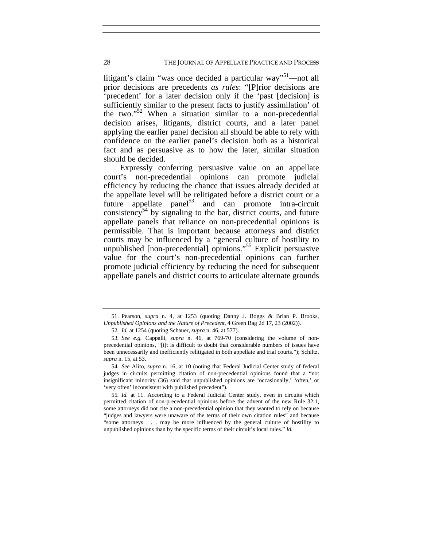litigant's claim "was once decided a particular way"<sup>51</sup>—not all prior decisions are precedents *as rules*: "[P]rior decisions are 'precedent' for a later decision only if the 'past [decision] is sufficiently similar to the present facts to justify assimilation' of the two." $52$  When a situation similar to a non-precedential decision arises, litigants, district courts, and a later panel applying the earlier panel decision all should be able to rely with confidence on the earlier panel's decision both as a historical fact and as persuasive as to how the later, similar situation should be decided.

Expressly conferring persuasive value on an appellate court's non-precedential opinions can promote judicial efficiency by reducing the chance that issues already decided at the appellate level will be relitigated before a district court or a future appellate panel $^{53}$  and can promote intra-circuit consistency<sup>54</sup> by signaling to the bar, district courts, and future appellate panels that reliance on non-precedential opinions is permissible. That is important because attorneys and district courts may be influenced by a "general culture of hostility to unpublished [non-precedential] opinions."55 Explicit persuasive value for the court's non-precedential opinions can further promote judicial efficiency by reducing the need for subsequent appellate panels and district courts to articulate alternate grounds

 <sup>51.</sup> Pearson, *supra* n. 4, at 1253 (quoting Danny J. Boggs & Brian P. Brooks, *Unpublished Opinions and the Nature of Precedent*, 4 Green Bag 2d 17, 23 (2002)).

<sup>52</sup>*. Id.* at 1254 (quoting Schauer, *supra* n. 46, at 577).

<sup>53</sup>*. See e.g.* Cappalli, *supra* n. 46, at 769-70 (considering the volume of nonprecedential opinions, "[i]t is difficult to doubt that considerable numbers of issues have been unnecessarily and inefficiently relitigated in both appellate and trial courts."); Schiltz, *supra* n. 15, at 53.

<sup>54</sup>*. See* Alito, *supra* n. 16, at 10 (noting that Federal Judicial Center study of federal judges in circuits permitting citation of non-precedential opinions found that a "not insignificant minority (36) said that unpublished opinions are 'occasionally,' 'often,' or 'very often' inconsistent with published precedent").

<sup>55</sup>*. Id.* at 11. According to a Federal Judicial Center study, even in circuits which permitted citation of non-precedential opinions before the advent of the new Rule 32.1, some attorneys did not cite a non-precedential opinion that they wanted to rely on because "judges and lawyers were unaware of the terms of their own citation rules" and because "some attorneys . . . may be more influenced by the general culture of hostility to unpublished opinions than by the specific terms of their circuit's local rules." *Id.*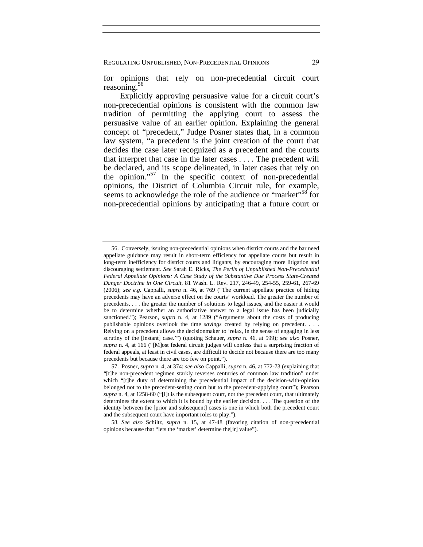for opinions that rely on non-precedential circuit court reasoning. $56$ 

Explicitly approving persuasive value for a circuit court's non-precedential opinions is consistent with the common law tradition of permitting the applying court to assess the persuasive value of an earlier opinion. Explaining the general concept of "precedent," Judge Posner states that, in a common law system, "a precedent is the joint creation of the court that decides the case later recognized as a precedent and the courts that interpret that case in the later cases . . . . The precedent will be declared, and its scope delineated, in later cases that rely on the opinion."<sup>57</sup> In the specific context of non-precedential opinions, the District of Columbia Circuit rule, for example, seems to acknowledge the role of the audience or "market"<sup>58</sup> for non-precedential opinions by anticipating that a future court or

58*. See also* Schiltz, *supra* n. 15, at 47-48 (favoring citation of non-precedential opinions because that "lets the 'market' determine the[ir] value").

 <sup>56.</sup> Conversely, issuing non-precedential opinions when district courts and the bar need appellate guidance may result in short-term efficiency for appellate courts but result in long-term inefficiency for district courts and litigants, by encouraging more litigation and discouraging settlement. *See* Sarah E. Ricks, *The Perils of Unpublished Non-Precedential Federal Appellate Opinions: A Case Study of the Substantive Due Process State-Created Danger Doctrine in One Circuit*, 81 Wash. L. Rev. 217, 246-49, 254-55, 259-61, 267-69 (2006); *see e.g.* Cappalli, *supra* n. 46, at 769 ("The current appellate practice of hiding precedents may have an adverse effect on the courts' workload. The greater the number of precedents, . . . the greater the number of solutions to legal issues, and the easier it would be to determine whether an authoritative answer to a legal issue has been judicially sanctioned."); Pearson, *supra* n. 4, at 1289 ("Arguments about the costs of producing publishable opinions overlook the time *savings* created by relying on precedent. . . . Relying on a precedent allows the decisionmaker to 'relax, in the sense of engaging in less scrutiny of the [instant] case.'") (quoting Schauer, *supra* n. 46, at 599); *see also* Posner, *supra* n. 4, at 166 ("[M]ost federal circuit judges will confess that a surprising fraction of federal appeals, at least in civil cases, are difficult to decide not because there are too many precedents but because there are too few on point.").

 <sup>57.</sup> Posner, *supra* n. 4, at 374; *see also* Cappalli, *supra* n. 46, at 772-73 (explaining that "[t]he non-precedent regimen starkly reverses centuries of common law tradition" under which "[t]he duty of determining the precedential impact of the decision-with-opinion belonged not to the precedent-setting court but to the precedent-applying court"); Pearson *supra* n. 4, at 1258-60 ("[I]t is the subsequent court, not the precedent court, that ultimately determines the extent to which it is bound by the earlier decision. . . . The question of the identity between the [prior and subsequent] cases is one in which both the precedent court and the subsequent court have important roles to play.").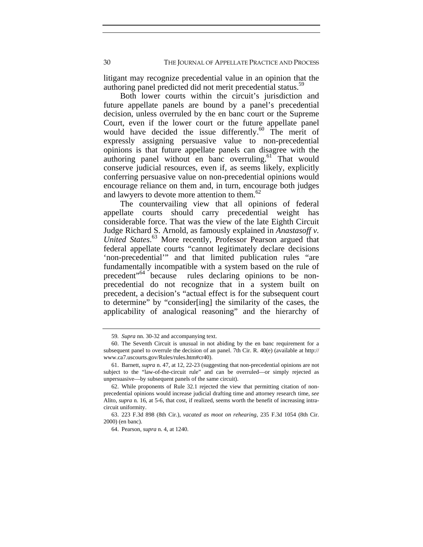litigant may recognize precedential value in an opinion that the authoring panel predicted did not merit precedential status.<sup>5</sup>

Both lower courts within the circuit's jurisdiction and future appellate panels are bound by a panel's precedential decision, unless overruled by the en banc court or the Supreme Court, even if the lower court or the future appellate panel would have decided the issue differently.<sup>60</sup> The merit of expressly assigning persuasive value to non-precedential opinions is that future appellate panels can disagree with the authoring panel without en banc overruling. $61$  That would conserve judicial resources, even if, as seems likely, explicitly conferring persuasive value on non-precedential opinions would encourage reliance on them and, in turn, encourage both judges and lawyers to devote more attention to them.<sup>62</sup>

The countervailing view that all opinions of federal appellate courts should carry precedential weight has considerable force. That was the view of the late Eighth Circuit Judge Richard S. Arnold, as famously explained in *Anastasoff v.*  United States.<sup>63</sup> More recently, Professor Pearson argued that federal appellate courts "cannot legitimately declare decisions 'non-precedential'" and that limited publication rules "are fundamentally incompatible with a system based on the rule of precedent"64 because rules declaring opinions to be nonprecedential do not recognize that in a system built on precedent, a decision's "actual effect is for the subsequent court to determine" by "consider[ing] the similarity of the cases, the applicability of analogical reasoning" and the hierarchy of

<sup>59</sup>*. Supra* nn. 30-32 and accompanying text.

 <sup>60.</sup> The Seventh Circuit is unusual in not abiding by the en banc requirement for a subsequent panel to overrule the decision of an panel. 7th Cir. R. 40(e) (available at http:// www.ca7.uscourts.gov/Rules/rules.htm#cr40).

 <sup>61.</sup> Barnett, *supra* n. 47, at 12, 22-23 (suggesting that non-precedential opinions are not subject to the "law-of-the-circuit rule" and can be overruled—or simply rejected as unpersuasive—by subsequent panels of the same circuit).

 <sup>62.</sup> While proponents of Rule 32.1 rejected the view that permitting citation of nonprecedential opinions would increase judicial drafting time and attorney research time, *see* Alito, *supra* n. 16, at 5-6, that cost, if realized, seems worth the benefit of increasing intracircuit uniformity.

 <sup>63. 223</sup> F.3d 898 (8th Cir.), *vacated as moot on rehearing*, 235 F.3d 1054 (8th Cir. 2000) (en banc).

 <sup>64.</sup> Pearson, *supra* n. 4, at 1240.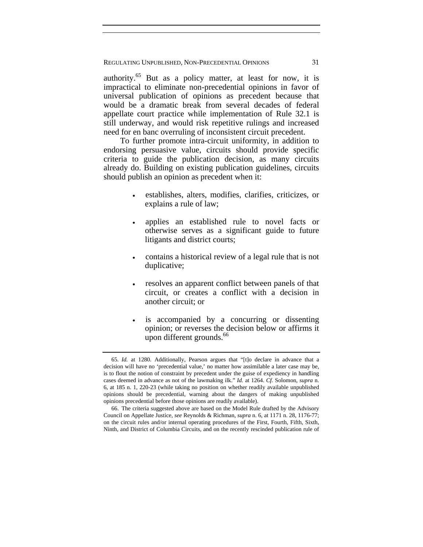authority. $65$  But as a policy matter, at least for now, it is impractical to eliminate non-precedential opinions in favor of universal publication of opinions as precedent because that would be a dramatic break from several decades of federal appellate court practice while implementation of Rule 32.1 is still underway, and would risk repetitive rulings and increased need for en banc overruling of inconsistent circuit precedent.

To further promote intra-circuit uniformity, in addition to endorsing persuasive value, circuits should provide specific criteria to guide the publication decision, as many circuits already do. Building on existing publication guidelines, circuits should publish an opinion as precedent when it:

- establishes, alters, modifies, clarifies, criticizes, or explains a rule of law;
- applies an established rule to novel facts or otherwise serves as a significant guide to future litigants and district courts;
- contains a historical review of a legal rule that is not duplicative;
- resolves an apparent conflict between panels of that circuit, or creates a conflict with a decision in another circuit; or
- is accompanied by a concurring or dissenting opinion; or reverses the decision below or affirms it upon different grounds.<sup>66</sup>

<sup>65</sup>*. Id.* at 1280. Additionally, Pearson argues that "[t]o declare in advance that a decision will have no 'precedential value,' no matter how assimilable a later case may be, is to flout the notion of constraint by precedent under the guise of expediency in handling cases deemed in advance as not of the lawmaking ilk." *Id.* at 1264. *Cf.* Solomon, *supra* n. 6, at 185 n. 1, 220-23 (while taking no position on whether readily available unpublished opinions should be precedential, warning about the dangers of making unpublished opinions precedential before those opinions are readily available).

 <sup>66.</sup> The criteria suggested above are based on the Model Rule drafted by the Advisory Council on Appellate Justice, *see* Reynolds & Richman, *supra* n. 6, at 1171 n. 28, 1176-77; on the circuit rules and/or internal operating procedures of the First, Fourth, Fifth, Sixth, Ninth, and District of Columbia Circuits, and on the recently rescinded publication rule of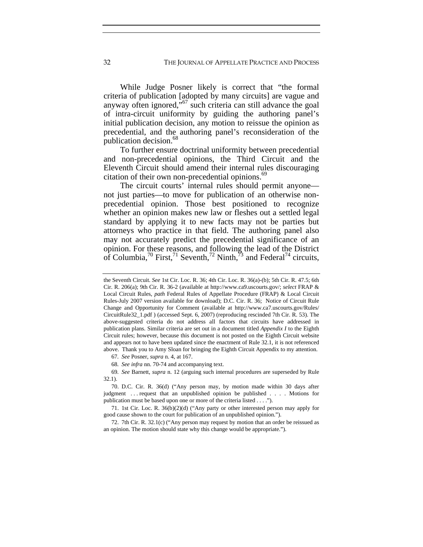While Judge Posner likely is correct that "the formal criteria of publication [adopted by many circuits] are vague and anyway often ignored,"67 such criteria can still advance the goal of intra-circuit uniformity by guiding the authoring panel's initial publication decision, any motion to reissue the opinion as precedential, and the authoring panel's reconsideration of the publication decision.<sup>68</sup>

To further ensure doctrinal uniformity between precedential and non-precedential opinions, the Third Circuit and the Eleventh Circuit should amend their internal rules discouraging citation of their own non-precedential opinions.<sup>69</sup>

The circuit courts' internal rules should permit anyone not just parties—to move for publication of an otherwise nonprecedential opinion. Those best positioned to recognize whether an opinion makes new law or fleshes out a settled legal standard by applying it to new facts may not be parties but attorneys who practice in that field. The authoring panel also may not accurately predict the precedential significance of an opinion. For these reasons, and following the lead of the District of Columbia,<sup>70</sup> First,<sup>71</sup> Seventh,<sup>72</sup> Ninth,<sup>73</sup> and Federal<sup>74</sup> circuits,

67*. See* Posner, *supra* n. 4, at 167.

68*. See infra* nn. 70-74 and accompanying text.

69*. See* Barnett, *supra* n. 12 (arguing such internal procedures are superseded by Rule 32.1).

 70. D.C. Cir. R. 36(d) ("Any person may, by motion made within 30 days after judgment . . . request that an unpublished opinion be published . . . . Motions for publication must be based upon one or more of the criteria listed . . . .").

 71. 1st Cir. Loc. R. 36(b)(2)(d) ("Any party or other interested person may apply for good cause shown to the court for publication of an unpublished opinion.").

 72. 7th Cir. R. 32.1(c) ("Any person may request by motion that an order be reissued as an opinion. The motion should state why this change would be appropriate.").

the Seventh Circuit. *See* 1st Cir. Loc. R. 36; 4th Cir. Loc. R. 36(a)-(b); 5th Cir. R. 47.5; 6th Cir. R. 206(a); 9th Cir. R. 36-2 (available at http://www.ca9.uscourts.gov/; *select* FRAP & Local Circuit Rules, *path* Federal Rules of Appellate Procedure (FRAP) & Local Circuit Rules-July 2007 version available for download); D.C. Cir. R. 36; Notice of Circuit Rule Change and Opportunity for Comment (available at http://www.ca7.uscourts.gov/Rules/ CircuitRule32\_1.pdf ) (accessed Sept. 6, 2007) (reproducing rescinded 7th Cir. R. 53). The above-suggested criteria do not address all factors that circuits have addressed in publication plans. Similar criteria are set out in a document titled *Appendix I* to the Eighth Circuit rules; however, because this document is not posted on the Eighth Circuit website and appears not to have been updated since the enactment of Rule 32.1, it is not referenced above. Thank you to Amy Sloan for bringing the Eighth Circuit Appendix to my attention.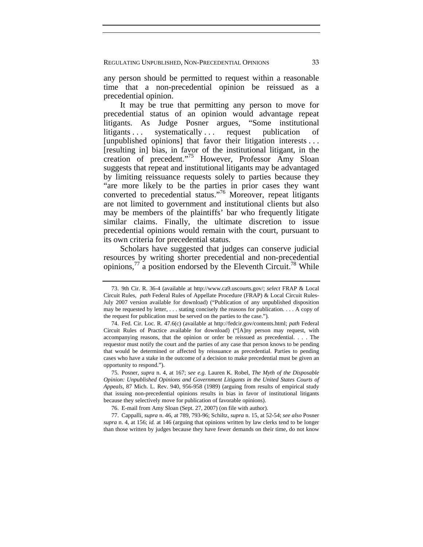any person should be permitted to request within a reasonable time that a non-precedential opinion be reissued as a precedential opinion.

It may be true that permitting any person to move for precedential status of an opinion would advantage repeat litigants. As Judge Posner argues, "Some institutional litigants ... systematically ... request publication of [unpublished opinions] that favor their litigation interests ... [resulting in] bias, in favor of the institutional litigant, in the creation of precedent."<sup>75</sup> However, Professor Amy Sloan suggests that repeat and institutional litigants may be advantaged by limiting reissuance requests solely to parties because they "are more likely to be the parties in prior cases they want converted to precedential status."76 Moreover, repeat litigants are not limited to government and institutional clients but also may be members of the plaintiffs' bar who frequently litigate similar claims. Finally, the ultimate discretion to issue precedential opinions would remain with the court, pursuant to its own criteria for precedential status.

Scholars have suggested that judges can conserve judicial resources by writing shorter precedential and non-precedential opinions,<sup>77</sup> a position endorsed by the Eleventh Circuit.<sup>78</sup> While

 <sup>73. 9</sup>th Cir. R. 36-4 (available at http://www.ca9.uscourts.gov/; *select* FRAP & Local Circuit Rules, *path* Federal Rules of Appellate Procedure (FRAP) & Local Circuit Rules-July 2007 version available for download) ("Publication of any unpublished disposition may be requested by letter, . . . stating concisely the reasons for publication. . . . A copy of the request for publication must be served on the parties to the case.").

 <sup>74.</sup> Fed. Cir. Loc. R. 47.6(c) (available at http://fedcir.gov/contents.html; *path* Federal Circuit Rules of Practice available for download) ("[A]ny person may request, with accompanying reasons, that the opinion or order be reissued as precedential. . . . The requestor must notify the court and the parties of any case that person knows to be pending that would be determined or affected by reissuance as precedential. Parties to pending cases who have a stake in the outcome of a decision to make precedential must be given an opportunity to respond.").

 <sup>75.</sup> Posner, *supra* n. 4, at 167; *see e.g.* Lauren K. Robel, *The Myth of the Disposable Opinion: Unpublished Opinions and Government Litigants in the United States Courts of Appeals*, 87 Mich. L. Rev. 940, 956-958 (1989) (arguing from results of empirical study that issuing non-precedential opinions results in bias in favor of institutional litigants because they selectively move for publication of favorable opinions).

 <sup>76.</sup> E-mail from Amy Sloan (Sept. 27, 2007) (on file with author).

 <sup>77.</sup> Cappalli, *supra* n. 46, at 789, 793-96; Schiltz, *supra* n. 15, at 52-54; *see also* Posner *supra* n. 4, at 156; *id.* at 146 (arguing that opinions written by law clerks tend to be longer than those written by judges because they have fewer demands on their time, do not know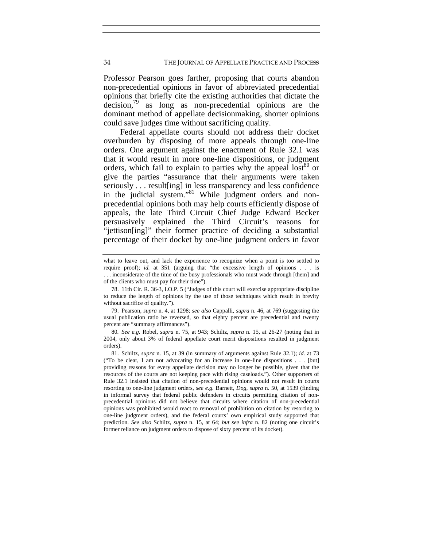Professor Pearson goes farther, proposing that courts abandon non-precedential opinions in favor of abbreviated precedential opinions that briefly cite the existing authorities that dictate the  $decision<sub>1</sub><sup>9</sup>$  as long as non-precedential opinions are the dominant method of appellate decisionmaking, shorter opinions could save judges time without sacrificing quality.

Federal appellate courts should not address their docket overburden by disposing of more appeals through one-line orders. One argument against the enactment of Rule 32.1 was that it would result in more one-line dispositions, or judgment orders, which fail to explain to parties why the appeal  $\text{lost}^{80}$  or give the parties "assurance that their arguments were taken seriously . . . result[ing] in less transparency and less confidence in the judicial system."<sup>81</sup> While judgment orders and nonprecedential opinions both may help courts efficiently dispose of appeals, the late Third Circuit Chief Judge Edward Becker persuasively explained the Third Circuit's reasons for "jettison[ing]" their former practice of deciding a substantial percentage of their docket by one-line judgment orders in favor

what to leave out, and lack the experience to recognize when a point is too settled to require proof); *id.* at 351 (arguing that "the excessive length of opinions . . . is . . . inconsiderate of the time of the busy professionals who must wade through [them] and of the clients who must pay for their time").

 <sup>78. 11</sup>th Cir. R. 36-3, I.O.P. 5 ("Judges of this court will exercise appropriate discipline to reduce the length of opinions by the use of those techniques which result in brevity without sacrifice of quality.").

 <sup>79.</sup> Pearson, *supra* n. 4, at 1298; *see also* Cappalli, *supra* n. 46, at 769 (suggesting the usual publication ratio be reversed, so that eighty percent are precedential and twenty percent are "summary affirmances").

<sup>80</sup>*. See e.g.* Robel, *supra* n. 75, at 943; Schiltz, *supra* n. 15, at 26-27 (noting that in 2004, only about 3% of federal appellate court merit dispositions resulted in judgment orders).

 <sup>81.</sup> Schiltz, *supra* n. 15, at 39 (in summary of arguments against Rule 32.1); *id.* at 73 ("To be clear, I am not advocating for an increase in one-line dispositions . . . [but] providing reasons for every appellate decision may no longer be possible, given that the resources of the courts are not keeping pace with rising caseloads."). Other supporters of Rule 32.1 insisted that citation of non-precedential opinions would not result in courts resorting to one-line judgment orders, *see e.g.* Barnett, *Dog*, *supra* n. 50, at 1539 (finding in informal survey that federal public defenders in circuits permitting citation of nonprecedential opinions did not believe that circuits where citation of non-precedential opinions was prohibited would react to removal of prohibition on citation by resorting to one-line judgment orders), and the federal courts' own empirical study supported that prediction. *See also* Schiltz, *supra* n. 15, at 64; *but see infra* n. 82 (noting one circuit's former reliance on judgment orders to dispose of sixty percent of its docket).